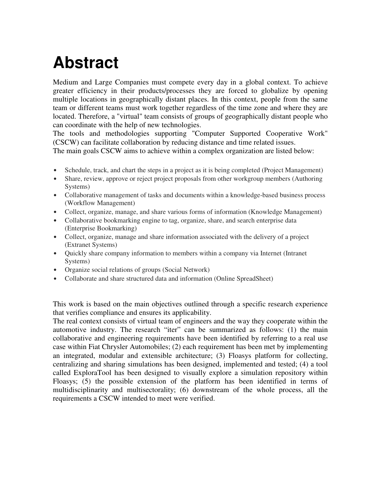## **Abstract**

Medium and Large Companies must compete every day in a global context. To achieve greater efficiency in their products/processes they are forced to globalize by opening multiple locations in geographically distant places. In this context, people from the same team or different teams must work together regardless of the time zone and where they are located. Therefore, a "virtual" team consists of groups of geographically distant people who can coordinate with the help of new technologies.

The tools and methodologies supporting "Computer Supported Cooperative Work" (CSCW) can facilitate collaboration by reducing distance and time related issues.

The main goals CSCW aims to achieve within a complex organization are listed below:

- Schedule, track, and chart the steps in a project as it is being completed (Project Management)
- Share, review, approve or reject project proposals from other workgroup members (Authoring Systems)
- Collaborative management of tasks and documents within a knowledge-based business process (Workflow Management)
- Collect, organize, manage, and share various forms of information (Knowledge Management)
- Collaborative bookmarking engine to tag, organize, share, and search enterprise data (Enterprise Bookmarking)
- Collect, organize, manage and share information associated with the delivery of a project (Extranet Systems)
- Quickly share company information to members within a company via Internet (Intranet Systems)
- Organize social relations of groups (Social Network)
- Collaborate and share structured data and information (Online SpreadSheet)

This work is based on the main objectives outlined through a specific research experience that verifies compliance and ensures its applicability.

The real context consists of virtual team of engineers and the way they cooperate within the automotive industry. The research "iter" can be summarized as follows: (1) the main collaborative and engineering requirements have been identified by referring to a real use case within Fiat Chrysler Automobiles; (2) each requirement has been met by implementing an integrated, modular and extensible architecture; (3) Floasys platform for collecting, centralizing and sharing simulations has been designed, implemented and tested; (4) a tool called ExploraTool has been designed to visually explore a simulation repository within Floasys; (5) the possible extension of the platform has been identified in terms of multidisciplinarity and multisectorality; (6) downstream of the whole process, all the requirements a CSCW intended to meet were verified.